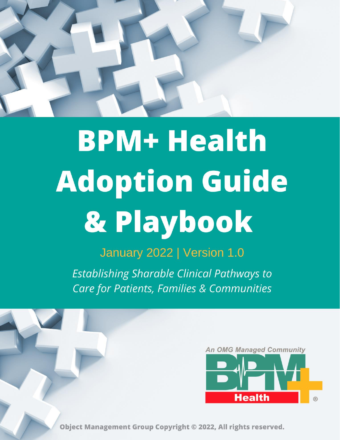

# **BPM+ Health Adoption Guide** & Playbook

January 2022 | Version 1.0 **Establishing Sharable Clinical Pathways to** Care for Patients, Families & Communities



Object Management Group Copyright © 2022, All rights reserved.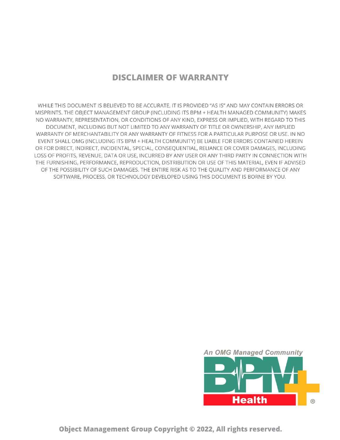## **DISCLAIMER OF WARRANTY**

<span id="page-1-0"></span>WHILE THIS DOCUMENT IS BELIEVED TO BE ACCURATE, IT IS PROVIDED "AS IS" AND MAY CONTAIN ERRORS OR MISPRINTS. THE OBJECT MANAGEMENT GROUP (INCLUDING ITS BPM + HEALTH MANAGED COMMUNITY) MAKES NO WARRANTY, REPRESENTATION, OR CONDITIONS OF ANY KIND, EXPRESS OR IMPLIED, WITH REGARD TO THIS DOCUMENT, INCLUDING BUT NOT LIMITED TO ANY WARRANTY OF TITLE OR OWNERSHIP, ANY IMPLIED WARRANTY OF MERCHANTABILITY OR ANY WARRANTY OF FITNESS FOR A PARTICULAR PURPOSE OR USE. IN NO EVENT SHALL OMG (INCLUDING ITS BPM + HEALTH COMMUNITY) BE LIABLE FOR ERRORS CONTAINED HEREIN OR FOR DIRECT, INDIRECT, INCIDENTAL, SPECIAL, CONSEQUENTIAL, RELIANCE OR COVER DAMAGES, INCLUDING LOSS OF PROFITS, REVENUE, DATA OR USE, INCURRED BY ANY USER OR ANY THIRD PARTY IN CONNECTION WITH THE FURNISHING, PERFORMANCE, REPRODUCTION, DISTRIBUTION OR USE OF THIS MATERIAL, EVEN IF ADVISED OF THE POSSIBILITY OF SUCH DAMAGES. THE ENTIRE RISK AS TO THE OUALITY AND PERFORMANCE OF ANY SOFTWARE, PROCESS, OR TECHNOLOGY DEVELOPED USING THIS DOCUMENT IS BORNE BY YOU.



Object Management Group Copyright © 2022, All rights reserved.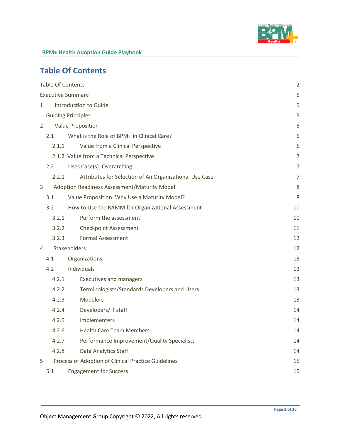

## **Table Of Contents**

|                   | <b>Table Of Contents</b><br>$\overline{2}$          |                                                        |                |  |  |  |  |
|-------------------|-----------------------------------------------------|--------------------------------------------------------|----------------|--|--|--|--|
|                   | <b>Executive Summary</b>                            |                                                        |                |  |  |  |  |
| $\mathbf{1}$      | Introduction to Guide                               |                                                        |                |  |  |  |  |
|                   |                                                     | <b>Guiding Principles</b>                              | 5              |  |  |  |  |
| $\overline{2}$    |                                                     | <b>Value Proposition</b>                               |                |  |  |  |  |
|                   | 2.1                                                 | What is the Role of BPM+ in Clinical Care?             | 6              |  |  |  |  |
|                   | 2.1.1                                               | Value from a Clinical Perspective                      | 6              |  |  |  |  |
|                   |                                                     | 2.1.2 Value from a Technical Perspective               | $\overline{7}$ |  |  |  |  |
|                   | 2.2                                                 | Uses Case(s): Overarching                              | $\overline{7}$ |  |  |  |  |
|                   | 2.2.1                                               | Attributes for Selection of An Organizational Use Case | 7              |  |  |  |  |
| 3                 |                                                     | Adoption Readiness Assessment/Maturity Model           | 8              |  |  |  |  |
|                   | 3.1                                                 | Value Proposition: Why Use a Maturity Model?           | 8              |  |  |  |  |
|                   | 3.2                                                 | How to Use the RAMM for Organizational Assessment      | 10             |  |  |  |  |
|                   | 3.2.1                                               | Perform the assessment                                 | 10             |  |  |  |  |
|                   | 3.2.2                                               | <b>Checkpoint Assessment</b>                           | 11             |  |  |  |  |
|                   | 3.2.3                                               | <b>Formal Assessment</b>                               | 12             |  |  |  |  |
| Stakeholders<br>4 |                                                     |                                                        | 12             |  |  |  |  |
|                   | 4.1                                                 | Organizations                                          |                |  |  |  |  |
|                   | 4.2                                                 | Individuals                                            | 13             |  |  |  |  |
|                   | 4.2.1                                               | <b>Executives and managers</b>                         | 13             |  |  |  |  |
|                   | 4.2.2                                               | Terminologists/Standards Developers and Users          | 13             |  |  |  |  |
|                   | 4.2.3                                               | Modelers                                               | 13             |  |  |  |  |
|                   | 4.2.4                                               | Developers/IT staff                                    | 14             |  |  |  |  |
|                   | 4.2.5                                               | Implementers                                           | 14             |  |  |  |  |
|                   | 4.2.6                                               | <b>Health Care Team Members</b>                        | 14             |  |  |  |  |
|                   | 4.2.7                                               | Performance Improvement/Quality Specialists            | 14             |  |  |  |  |
|                   | 4.2.8                                               | Data Analytics Staff                                   | 14             |  |  |  |  |
| 5                 | Process of Adoption of Clinical Practice Guidelines | 15                                                     |                |  |  |  |  |
|                   | 5.1                                                 | <b>Engagement for Success</b><br>15                    |                |  |  |  |  |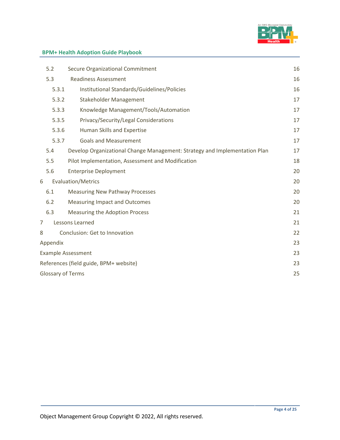

#### **BPM+ Health Adoption Guide Playbook**

| 5.2                                    |                          | <b>Secure Organizational Commitment</b>                                    |    |  |  |  |
|----------------------------------------|--------------------------|----------------------------------------------------------------------------|----|--|--|--|
| 5.3                                    |                          | <b>Readiness Assessment</b>                                                |    |  |  |  |
|                                        | 5.3.1                    | Institutional Standards/Guidelines/Policies                                |    |  |  |  |
| 5.3.2                                  |                          | <b>Stakeholder Management</b>                                              |    |  |  |  |
| 5.3.3                                  |                          | Knowledge Management/Tools/Automation                                      |    |  |  |  |
| 5.3.5                                  |                          | Privacy/Security/Legal Considerations                                      |    |  |  |  |
| 5.3.6                                  |                          | Human Skills and Expertise                                                 |    |  |  |  |
| 5.3.7                                  |                          | <b>Goals and Measurement</b>                                               |    |  |  |  |
| 5.4                                    |                          | Develop Organizational Change Management: Strategy and Implementation Plan |    |  |  |  |
| 5.5                                    |                          | Pilot Implementation, Assessment and Modification                          |    |  |  |  |
|                                        | 5.6                      | <b>Enterprise Deployment</b>                                               |    |  |  |  |
| 6                                      |                          | <b>Evaluation/Metrics</b>                                                  |    |  |  |  |
| 6.1                                    |                          | <b>Measuring New Pathway Processes</b>                                     |    |  |  |  |
| 6.2                                    |                          | <b>Measuring Impact and Outcomes</b>                                       |    |  |  |  |
| 6.3                                    |                          | <b>Measuring the Adoption Process</b>                                      |    |  |  |  |
| 7                                      |                          | Lessons Learned                                                            |    |  |  |  |
| 8                                      |                          | Conclusion: Get to Innovation                                              |    |  |  |  |
|                                        | Appendix                 |                                                                            | 23 |  |  |  |
| <b>Example Assessment</b>              |                          |                                                                            |    |  |  |  |
| References (field guide, BPM+ website) |                          |                                                                            |    |  |  |  |
|                                        | <b>Glossary of Terms</b> |                                                                            |    |  |  |  |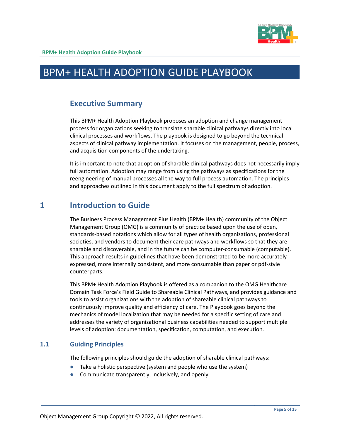

# BPM+ HEALTH ADOPTION GUIDE PLAYBOOK

## <span id="page-4-0"></span> **Executive Summary**

This BPM+ Health Adoption Playbook proposes an adoption and change management process for organizations seeking to translate sharable clinical pathways directly into local clinical processes and workflows. The playbook is designed to go beyond the technical aspects of clinical pathway implementation. It focuses on the management, people, process, and acquisition components of the undertaking.

It is important to note that adoption of sharable clinical pathways does not necessarily imply full automation. Adoption may range from using the pathways as specifications for the reengineering of manual processes all the way to full process automation. The principles and approaches outlined in this document apply to the full spectrum of adoption.

## <span id="page-4-1"></span>**1 Introduction to Guide**

The Business Process Management Plus Health (BPM+ Health) community of the Object Management Group (OMG) is a community of practice based upon the use of open, standards-based notations which allow for all types of health organizations, professional societies, and vendors to document their care pathways and workflows so that they are sharable and discoverable, and in the future can be computer-consumable (computable). This approach results in guidelines that have been demonstrated to be more accurately expressed, more internally consistent, and more consumable than paper or pdf-style counterparts.

This BPM+ Health Adoption Playbook is offered as a companion to the OMG Healthcare Domain Task Force's Field Guide to Shareable Clinical Pathways, and provides guidance and tools to assist organizations with the adoption of shareable clinical pathways to continuously improve quality and efficiency of care. The Playbook goes beyond the mechanics of model localization that may be needed for a specific setting of care and addresses the variety of organizational business capabilities needed to support multiple levels of adoption: documentation, specification, computation, and execution.

#### <span id="page-4-2"></span>**1.1 Guiding Principles**

The following principles should guide the adoption of sharable clinical pathways:

- Take a holistic perspective (system and people who use the system)
- Communicate transparently, inclusively, and openly.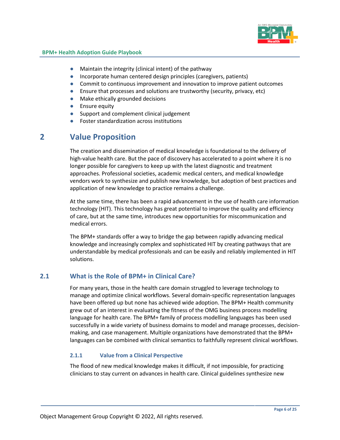

- Maintain the integrity (clinical intent) of the pathway
- Incorporate human centered design principles (caregivers, patients)
- Commit to continuous improvement and innovation to improve patient outcomes
- Ensure that processes and solutions are trustworthy (security, privacy, etc)
- Make ethically grounded decisions
- Ensure equity
- Support and complement clinical judgement
- Foster standardization across institutions

## <span id="page-5-0"></span>**2 Value Proposition**

The creation and dissemination of medical knowledge is foundational to the delivery of high-value health care. But the pace of discovery has accelerated to a point where it is no longer possible for caregivers to keep up with the latest diagnostic and treatment approaches. Professional societies, academic medical centers, and medical knowledge vendors work to synthesize and publish new knowledge, but adoption of best practices and application of new knowledge to practice remains a challenge.

At the same time, there has been a rapid advancement in the use of health care information technology (HIT). This technology has great potential to improve the quality and efficiency of care, but at the same time, introduces new opportunities for miscommunication and medical errors.

The BPM+ standards offer a way to bridge the gap between rapidly advancing medical knowledge and increasingly complex and sophisticated HIT by creating pathways that are understandable by medical professionals and can be easily and reliably implemented in HIT solutions.

#### <span id="page-5-1"></span>**2.1 What is the Role of BPM+ in Clinical Care?**

For many years, those in the health care domain struggled to leverage technology to manage and optimize clinical workflows. Several domain-specific representation languages have been offered up but none has achieved wide adoption. The BPM+ Health community grew out of an interest in evaluating the fitness of the OMG business process modelling language for health care. The BPM+ family of process modelling languages has been used successfully in a wide variety of business domains to model and manage processes, decisionmaking, and case management. Multiple organizations have demonstrated that the BPM+ languages can be combined with clinical semantics to faithfully represent clinical workflows.

#### <span id="page-5-2"></span>**2.1.1 Value from a Clinical Perspective**

The flood of new medical knowledge makes it difficult, if not impossible, for practicing clinicians to stay current on advances in health care. Clinical guidelines synthesize new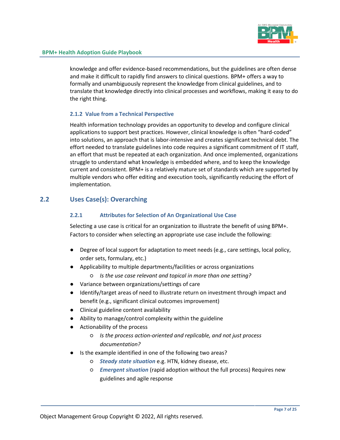

knowledge and offer evidence-based recommendations, but the guidelines are often dense and make it difficult to rapidly find answers to clinical questions. BPM+ offers a way to formally and unambiguously represent the knowledge from clinical guidelines, and to translate that knowledge directly into clinical processes and workflows, making it easy to do the right thing.

#### <span id="page-6-0"></span>**2.1.2 Value from a Technical Perspective**

Health information technology provides an opportunity to develop and configure clinical applications to support best practices. However, clinical knowledge is often "hard-coded" into solutions, an approach that is labor-intensive and creates significant technical debt. The effort needed to translate guidelines into code requires a significant commitment of IT staff, an effort that must be repeated at each organization. And once implemented, organizations struggle to understand what knowledge is embedded where, and to keep the knowledge current and consistent. BPM+ is a relatively mature set of standards which are supported by multiple vendors who offer editing and execution tools, significantly reducing the effort of implementation.

#### <span id="page-6-2"></span><span id="page-6-1"></span>**2.2 Uses Case(s): Overarching**

#### **2.2.1 Attributes for Selection of An Organizational Use Case**

Selecting a use case is critical for an organization to illustrate the benefit of using BPM+. Factors to consider when selecting an appropriate use case include the following:

- Degree of local support for adaptation to meet needs (e.g., care settings, local policy, order sets, formulary, etc.)
- Applicability to multiple departments/facilities or across organizations
	- *Is the use case relevant and topical in more than one setting?*
- Variance between organizations/settings of care
- Identify/target areas of need to illustrate return on investment through impact and benefit (e.g., significant clinical outcomes improvement)
- Clinical guideline content availability
- Ability to manage/control complexity within the guideline
- Actionability of the process
	- *Is the process action-oriented and replicable, and not just process documentation?*
- Is the example identified in one of the following two areas?
	- *Steady state situation* e.g. HTN, kidney disease, etc.
	- *Emergent situation* (rapid adoption without the full process) Requires new guidelines and agile response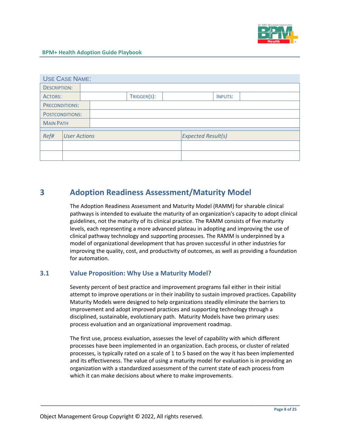

| <b>USE CASE NAME:</b> |                     |  |  |                           |  |                |  |
|-----------------------|---------------------|--|--|---------------------------|--|----------------|--|
| <b>DESCRIPTION:</b>   |                     |  |  |                           |  |                |  |
| <b>ACTORS:</b>        |                     |  |  | TRIGGER(S):               |  | <b>INPUTS:</b> |  |
| <b>PRECONDITIONS:</b> |                     |  |  |                           |  |                |  |
| POSTCONDITIONS:       |                     |  |  |                           |  |                |  |
| <b>MAIN PATH</b>      |                     |  |  |                           |  |                |  |
|                       |                     |  |  |                           |  |                |  |
| Ref#                  | <b>User Actions</b> |  |  | <b>Expected Result(s)</b> |  |                |  |
|                       |                     |  |  |                           |  |                |  |
|                       |                     |  |  |                           |  |                |  |

## <span id="page-7-0"></span>**3 Adoption Readiness Assessment/Maturity Model**

The Adoption Readiness Assessment and Maturity Model (RAMM) for sharable clinical pathways is intended to evaluate the maturity of an organization's capacity to adopt clinical guidelines, not the maturity of its clinical practice. The RAMM consists of five maturity levels, each representing a more advanced plateau in adopting and improving the use of clinical pathway technology and supporting processes. The RAMM is underpinned by a model of organizational development that has proven successful in other industries for improving the quality, cost, and productivity of outcomes, as well as providing a foundation for automation.

#### <span id="page-7-1"></span>**3.1 Value Proposition: Why Use a Maturity Model?**

Seventy percent of best practice and improvement programs fail either in their initial attempt to improve operations or in their inability to sustain improved practices. Capability Maturity Models were designed to help organizations steadily eliminate the barriers to improvement and adopt improved practices and supporting technology through a disciplined, sustainable, evolutionary path. Maturity Models have two primary uses: process evaluation and an organizational improvement roadmap.

The first use, process evaluation, assesses the level of capability with which different processes have been implemented in an organization. Each process, or cluster of related processes, is typically rated on a scale of 1 to 5 based on the way it has been implemented and its effectiveness. The value of using a maturity model for evaluation is in providing an organization with a standardized assessment of the current state of each process from which it can make decisions about where to make improvements.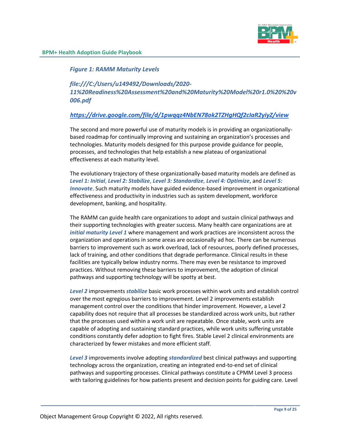

#### *Figure 1: RAMM Maturity Levels*

*file:///C:/Users/u149492/Downloads/2020- 11%20Readiness%20Assessment%20and%20Maturity%20Model%20r1.0%20%20v 006.pdf*

#### *<https://drive.google.com/file/d/1pwqqz4NbEN78ok2TZHgHQf2cIaR2yiyZ/view>*

The second and more powerful use of maturity models is in providing an organizationallybased roadmap for continually improving and sustaining an organization's processes and technologies. Maturity models designed for this purpose provide guidance for people, processes, and technologies that help establish a new plateau of organizational effectiveness at each maturity level.

The evolutionary trajectory of these organizationally-based maturity models are defined as *Level 1: Initial*, *Level 2: Stabilize*, *Level 3: Standardize*, *Level 4: Optimize*, and *Level 5: Innovate*. Such maturity models have guided evidence-based improvement in organizational effectiveness and productivity in industries such as system development, workforce development, banking, and hospitality.

The RAMM can guide health care organizations to adopt and sustain clinical pathways and their supporting technologies with greater success. Many health care organizations are at *initial maturity Level 1* where management and work practices are inconsistent across the organization and operations in some areas are occasionally ad hoc. There can be numerous barriers to improvement such as work overload, lack of resources, poorly defined processes, lack of training, and other conditions that degrade performance. Clinical results in these facilities are typically below industry norms. There may even be resistance to improved practices. Without removing these barriers to improvement, the adoption of clinical pathways and supporting technology will be spotty at best.

*Level 2* improvements *stabilize* basic work processes within work units and establish control over the most egregious barriers to improvement. Level 2 improvements establish management control over the conditions that hinder improvement. However, a Level 2 capability does not require that all processes be standardized across work units, but rather that the processes used within a work unit are repeatable. Once stable, work units are capable of adopting and sustaining standard practices, while work units suffering unstable conditions constantly defer adoption to fight fires. Stable Level 2 clinical environments are characterized by fewer mistakes and more efficient staff.

*Level 3* improvements involve adopting *standardized* best clinical pathways and supporting technology across the organization, creating an integrated end-to-end set of clinical pathways and supporting processes. Clinical pathways constitute a CPMM Level 3 process with tailoring guidelines for how patients present and decision points for guiding care. Level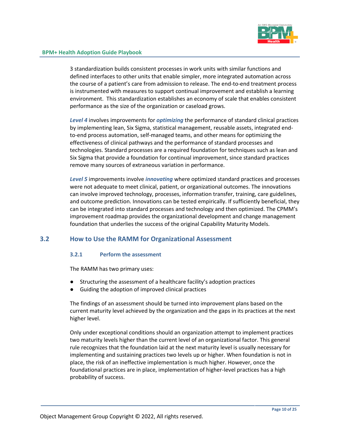

3 standardization builds consistent processes in work units with similar functions and defined interfaces to other units that enable simpler, more integrated automation across the course of a patient's care from admission to release. The end-to-end treatment process is instrumented with measures to support continual improvement and establish a learning environment. This standardization establishes an economy of scale that enables consistent performance as the size of the organization or caseload grows.

*Level 4* involves improvements for *optimizing* the performance of standard clinical practices by implementing lean, Six Sigma, statistical management, reusable assets, integrated endto-end process automation, self-managed teams, and other means for optimizing the effectiveness of clinical pathways and the performance of standard processes and technologies. Standard processes are a required foundation for techniques such as lean and Six Sigma that provide a foundation for continual improvement, since standard practices remove many sources of extraneous variation in performance.

*Level 5* improvements involve *innovating* where optimized standard practices and processes were not adequate to meet clinical, patient, or organizational outcomes. The innovations can involve improved technology, processes, information transfer, training, care guidelines, and outcome prediction. Innovations can be tested empirically. If sufficiently beneficial, they can be integrated into standard processes and technology and then optimized. The CPMM's improvement roadmap provides the organizational development and change management foundation that underlies the success of the original Capability Maturity Models.

#### <span id="page-9-1"></span><span id="page-9-0"></span>**3.2 How to Use the RAMM for Organizational Assessment**

#### **3.2.1 Perform the assessment**

The RAMM has two primary uses:

- Structuring the assessment of a healthcare facility's adoption practices
- Guiding the adoption of improved clinical practices

The findings of an assessment should be turned into improvement plans based on the current maturity level achieved by the organization and the gaps in its practices at the next higher level.

Only under exceptional conditions should an organization attempt to implement practices two maturity levels higher than the current level of an organizational factor. This general rule recognizes that the foundation laid at the next maturity level is usually necessary for implementing and sustaining practices two levels up or higher. When foundation is not in place, the risk of an ineffective implementation is much higher. However, once the foundational practices are in place, implementation of higher-level practices has a high probability of success.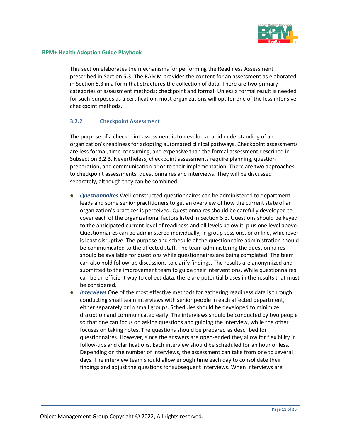

This section elaborates the mechanisms for performing the Readiness Assessment prescribed in Section 5.3. The RAMM provides the content for an assessment as elaborated in Section 5.3 in a form that structures the collection of data. There are two primary categories of assessment methods: checkpoint and formal. Unless a formal result is needed for such purposes as a certification, most organizations will opt for one of the less intensive checkpoint methods.

#### <span id="page-10-0"></span>**3.2.2 Checkpoint Assessment**

The purpose of a checkpoint assessment is to develop a rapid understanding of an organization's readiness for adopting automated clinical pathways. Checkpoint assessments are less formal, time-consuming, and expensive than the formal assessment described in Subsection 3.2.3. Nevertheless, checkpoint assessments require planning, question preparation, and communication prior to their implementation. There are two approaches to checkpoint assessments: questionnaires and interviews. They will be discussed separately, although they can be combined.

- *Questionnaires* Well-constructed questionnaires can be administered to department leads and some senior practitioners to get an overview of how the current state of an organization's practices is perceived. Questionnaires should be carefully developed to cover each of the organizational factors listed in Section 5.3. Questions should be keyed to the anticipated current level of readiness and all levels below it, plus one level above. Questionnaires can be administered individually, in group sessions, or online, whichever is least disruptive. The purpose and schedule of the questionnaire administration should be communicated to the affected staff. The team administering the questionnaires should be available for questions while questionnaires are being completed. The team can also hold follow-up discussions to clarify findings. The results are anonymized and submitted to the improvement team to guide their interventions. While questionnaires can be an efficient way to collect data, there are potential biases in the results that must be considered.
- *Interviews* One of the most effective methods for gathering readiness data is through conducting small team interviews with senior people in each affected department, either separately or in small groups. Schedules should be developed to minimize disruption and communicated early. The interviews should be conducted by two people so that one can focus on asking questions and guiding the interview, while the other focuses on taking notes. The questions should be prepared as described for questionnaires. However, since the answers are open-ended they allow for flexibility in follow-ups and clarifications. Each interview should be scheduled for an hour or less. Depending on the number of interviews, the assessment can take from one to several days. The interview team should allow enough time each day to consolidate their findings and adjust the questions for subsequent interviews. When interviews are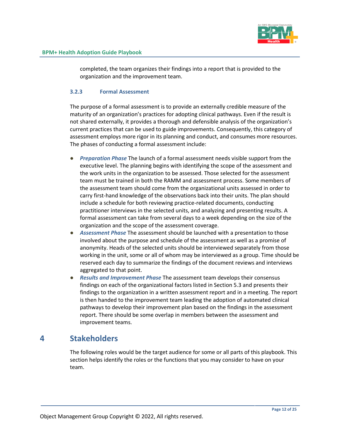

completed, the team organizes their findings into a report that is provided to the organization and the improvement team.

#### <span id="page-11-0"></span>**3.2.3 Formal Assessment**

The purpose of a formal assessment is to provide an externally credible measure of the maturity of an organization's practices for adopting clinical pathways. Even if the result is not shared externally, it provides a thorough and defensible analysis of the organization's current practices that can be used to guide improvements. Consequently, this category of assessment employs more rigor in its planning and conduct, and consumes more resources. The phases of conducting a formal assessment include:

- *Preparation Phase* The launch of a formal assessment needs visible support from the executive level. The planning begins with identifying the scope of the assessment and the work units in the organization to be assessed. Those selected for the assessment team must be trained in both the RAMM and assessment process. Some members of the assessment team should come from the organizational units assessed in order to carry first-hand knowledge of the observations back into their units. The plan should include a schedule for both reviewing practice-related documents, conducting practitioner interviews in the selected units, and analyzing and presenting results. A formal assessment can take from several days to a week depending on the size of the organization and the scope of the assessment coverage.
- Assessment Phase The assessment should be launched with a presentation to those involved about the purpose and schedule of the assessment as well as a promise of anonymity. Heads of the selected units should be interviewed separately from those working in the unit, some or all of whom may be interviewed as a group. Time should be reserved each day to summarize the findings of the document reviews and interviews aggregated to that point.
- *Results and Improvement Phase* The assessment team develops their consensus findings on each of the organizational factors listed in Section 5.3 and presents their findings to the organization in a written assessment report and in a meeting. The report is then handed to the improvement team leading the adoption of automated clinical pathways to develop their improvement plan based on the findings in the assessment report. There should be some overlap in members between the assessment and improvement teams.

## <span id="page-11-1"></span>**4 Stakeholders**

The following roles would be the target audience for some or all parts of this playbook. This section helps identify the roles or the functions that you may consider to have on your team.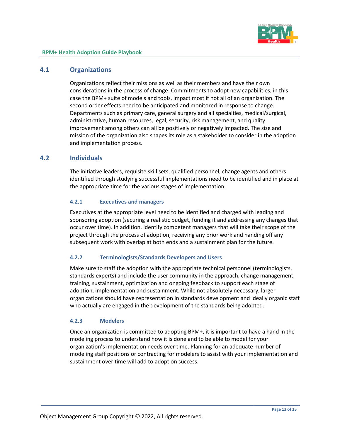

#### <span id="page-12-0"></span>**4.1 Organizations**

Organizations reflect their missions as well as their members and have their own considerations in the process of change. Commitments to adopt new capabilities, in this case the BPM+ suite of models and tools, impact most if not all of an organization. The second order effects need to be anticipated and monitored in response to change. Departments such as primary care, general surgery and all specialties, medical/surgical, administrative, human resources, legal, security, risk management, and quality improvement among others can all be positively or negatively impacted. The size and mission of the organization also shapes its role as a stakeholder to consider in the adoption and implementation process.

#### <span id="page-12-1"></span>**4.2 Individuals**

The initiative leaders, requisite skill sets, qualified personnel, change agents and others identified through studying successful implementations need to be identified and in place at the appropriate time for the various stages of implementation.

#### <span id="page-12-2"></span>**4.2.1 Executives and managers**

Executives at the appropriate level need to be identified and charged with leading and sponsoring adoption (securing a realistic budget, funding it and addressing any changes that occur over time). In addition, identify competent managers that will take their scope of the project through the process of adoption, receiving any prior work and handing off any subsequent work with overlap at both ends and a sustainment plan for the future.

#### <span id="page-12-3"></span>**4.2.2 Terminologists/Standards Developers and Users**

Make sure to staff the adoption with the appropriate technical personnel (terminologists, standards experts) and include the user community in the approach, change management, training, sustainment, optimization and ongoing feedback to support each stage of adoption, implementation and sustainment. While not absolutely necessary, larger organizations should have representation in standards development and ideally organic staff who actually are engaged in the development of the standards being adopted.

#### <span id="page-12-4"></span>**4.2.3 Modelers**

Once an organization is committed to adopting BPM+, it is important to have a hand in the modeling process to understand how it is done and to be able to model for your organization's implementation needs over time. Planning for an adequate number of modeling staff positions or contracting for modelers to assist with your implementation and sustainment over time will add to adoption success.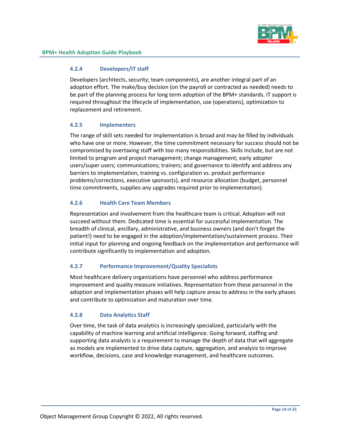

#### <span id="page-13-0"></span>**4.2.4 Developers/IT staff**

Developers (architects, security; team components), are another integral part of an adoption effort. The make/buy decision (on the payroll or contracted as needed) needs to be part of the planning process for long term adoption of the BPM+ standards. IT support is required throughout the lifecycle of implementation, use (operations), optimization to replacement and retirement.

#### <span id="page-13-1"></span>**4.2.5 Implementers**

The range of skill sets needed for implementation is broad and may be filled by individuals who have one or more. However, the time commitment necessary for success should not be compromised by overtaxing staff with too many responsibilities. Skills include, but are not limited to program and project management; change management; early adopter users/super users; communications; trainers; and governance to identify and address any barriers to implementation, training vs. configuration vs. product performance problems/corrections, executive sponsor(s), and resource allocation (budget, personnel time commitments, supplies-any upgrades required prior to implementation).

#### <span id="page-13-2"></span>**4.2.6 Health Care Team Members**

Representation and involvement from the healthcare team is critical. Adoption will not succeed without them. Dedicated time is essential for successful implementation. The breadth of clinical, ancillary, administrative, and business owners (and don't forget the patient!) need to be engaged in the adoption/implementation/sustainment process. Their initial input for planning and ongoing feedback on the implementation and performance will contribute significantly to implementation and adoption.

#### <span id="page-13-3"></span>**4.2.7 Performance Improvement/Quality Specialists**

Most healthcare delivery organizations have personnel who address performance improvement and quality measure initiatives. Representation from these personnel in the adoption and implementation phases will help capture areas to address in the early phases and contribute to optimization and maturation over time.

#### <span id="page-13-4"></span>**4.2.8 Data Analytics Staff**

Over time, the task of data analytics is increasingly specialized, particularly with the capability of machine learning and artificial intelligence. Going forward, staffing and supporting data analysts is a requirement to manage the depth of data that will aggregate as models are implemented to drive data capture, aggregation, and analysis to improve workflow, decisions, case and knowledge management, and healthcare outcomes.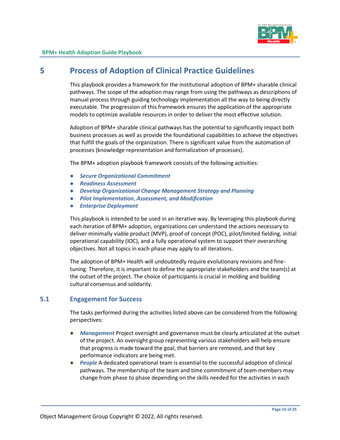

## <span id="page-14-0"></span>**5 Process of Adoption of Clinical Practice Guidelines**

This playbook provides a framework for the institutional adoption of BPM+ sharable clinical pathways. The scope of the adoption may range from using the pathways as descriptions of manual process through guiding technology implementation all the way to being directly executable. The progression of this framework ensures the application of the appropriate models to optimize available resources in order to deliver the most effective solution.

Adoption of BPM+ sharable clinical pathways has the potential to significantly impact both business processes as well as provide the foundational capabilities to achieve the objectives that fulfill the goals of the organization. There is significant value from the automation of processes (knowledge representation and formalization of processes).

The BPM+ adoption playbook framework consists of the following activities:

- *Secure Organizational Commitment*
- *Readiness Assessment*
- *Develop Organizational Change Management Strategy and Planning*
- *Pilot Implementation*, *Assessment, and Modification*
- *Enterprise Deployment*

This playbook is intended to be used in an iterative way. By leveraging this playbook during each iteration of BPM+ adoption, organizations can understand the actions necessary to deliver minimally viable product (MVP), proof of concept (POC), pilot/limited fielding, initial operational capability (IOC), and a fully operational system to support their overarching objectives. Not all topics in each phase may apply to all iterations.

The adoption of BPM+ Health will undoubtedly require evolutionary revisions and finetuning. Therefore, it is important to define the appropriate stakeholders and the team(s) at the outset of the project. The choice of participants is crucial in molding and building cultural consensus and solidarity.

#### <span id="page-14-1"></span>**5.1 Engagement for Success**

The tasks performed during the activities listed above can be considered from the following perspectives:

- *Management* Project oversight and governance must be clearly articulated at the outset of the project. An oversight group representing various stakeholders will help ensure that progress is made toward the goal, that barriers are removed, and that key performance indicators are being met.
- *People* A dedicated operational team is essential to the successful adoption of clinical pathways. The membership of the team and time commitment of team members may change from phase to phase depending on the skills needed for the activities in each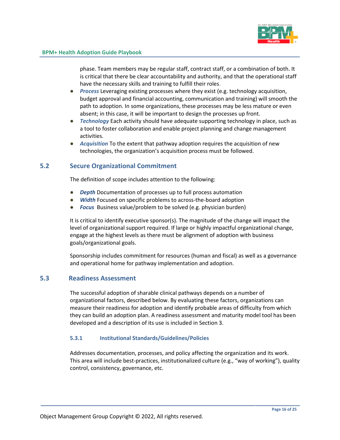

phase. Team members may be regular staff, contract staff, or a combination of both. It is critical that there be clear accountability and authority, and that the operational staff have the necessary skills and training to fulfill their roles.

- *Process* Leveraging existing processes where they exist (e.g. technology acquisition, budget approval and financial accounting, communication and training) will smooth the path to adoption. In some organizations, these processes may be less mature or even absent; in this case, it will be important to design the processes up front.
- *Technology* Each activity should have adequate supporting technology in place, such as a tool to foster collaboration and enable project planning and change management activities.
- *Acquisition* To the extent that pathway adoption requires the acquisition of new technologies, the organization's acquisition process must be followed.

#### <span id="page-15-0"></span>**5.2 Secure Organizational Commitment**

The definition of scope includes attention to the following:

- *Depth* Documentation of processes up to full process automation
- *Width* Focused on specific problems to across-the-board adoption
- *Focus* Business value/problem to be solved (e.g. physician burden)

It is critical to identify executive sponsor(s). The magnitude of the change will impact the level of organizational support required. If large or highly impactful organizational change, engage at the highest levels as there must be alignment of adoption with business goals/organizational goals.

Sponsorship includes commitment for resources (human and fiscal) as well as a governance and operational home for pathway implementation and adoption.

#### <span id="page-15-1"></span>**5.3 Readiness Assessment**

The successful adoption of sharable clinical pathways depends on a number of organizational factors, described below. By evaluating these factors, organizations can measure their readiness for adoption and identify probable areas of difficulty from which they can build an adoption plan. A readiness assessment and maturity model tool has been developed and a description of its use is included in Section 3.

#### <span id="page-15-2"></span>**5.3.1 Institutional Standards/Guidelines/Policies**

Addresses documentation, processes, and policy affecting the organization and its work. This area will include best-practices, institutionalized culture (e.g., "way of working"), quality control, consistency, governance, etc.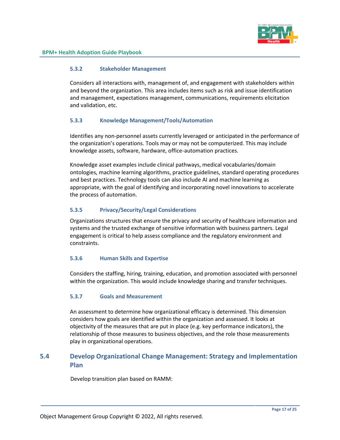

#### <span id="page-16-0"></span>**5.3.2 Stakeholder Management**

Considers all interactions with, management of, and engagement with stakeholders within and beyond the organization. This area includes items such as risk and issue identification and management, expectations management, communications, requirements elicitation and validation, etc.

#### <span id="page-16-1"></span>**5.3.3 Knowledge Management/Tools/Automation**

Identifies any non-personnel assets currently leveraged or anticipated in the performance of the organization's operations. Tools may or may not be computerized. This may include knowledge assets, software, hardware, office-automation practices.

Knowledge asset examples include clinical pathways, medical vocabularies/domain ontologies, machine learning algorithms, practice guidelines, standard operating procedures and best practices. Technology tools can also include AI and machine learning as appropriate, with the goal of identifying and incorporating novel innovations to accelerate the process of automation.

#### <span id="page-16-2"></span>**5.3.5 Privacy/Security/Legal Considerations**

Organizations structures that ensure the privacy and security of healthcare information and systems and the trusted exchange of sensitive information with business partners. Legal engagement is critical to help assess compliance and the regulatory environment and constraints.

#### <span id="page-16-3"></span>**5.3.6 Human Skills and Expertise**

Considers the staffing, hiring, training, education, and promotion associated with personnel within the organization. This would include knowledge sharing and transfer techniques.

#### <span id="page-16-4"></span>**5.3.7 Goals and Measurement**

An assessment to determine how organizational efficacy is determined. This dimension considers how goals are identified within the organization and assessed. It looks at objectivity of the measures that are put in place (e.g. key performance indicators), the relationship of those measures to business objectives, and the role those measurements play in organizational operations.

#### <span id="page-16-5"></span>**5.4 Develop Organizational Change Management: Strategy and Implementation Plan**

Develop transition plan based on RAMM: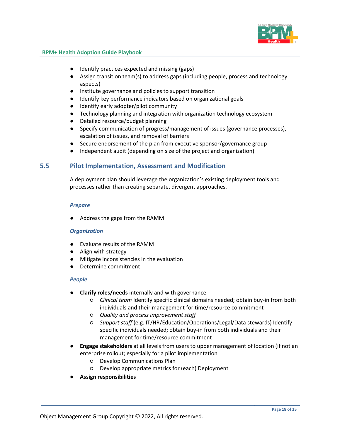

#### **BPM+ Health Adoption Guide Playbook**

- Identify practices expected and missing (gaps)
- Assign transition team(s) to address gaps (including people, process and technology aspects)
- Institute governance and policies to support transition
- Identify key performance indicators based on organizational goals
- Identify early adopter/pilot community
- Technology planning and integration with organization technology ecosystem
- Detailed resource/budget planning
- Specify communication of progress/management of issues (governance processes), escalation of issues, and removal of barriers
- Secure endorsement of the plan from executive sponsor/governance group
- Independent audit (depending on size of the project and organization)

#### <span id="page-17-0"></span>**5.5 Pilot Implementation, Assessment and Modification**

A deployment plan should leverage the organization's existing deployment tools and processes rather than creating separate, divergent approaches.

#### *Prepare*

Address the gaps from the RAMM

#### *Organization*

- Evaluate results of the RAMM
- Align with strategy
- Mitigate inconsistencies in the evaluation
- Determine commitment

#### *People*

- **Clarify roles/needs** internally and with governance
	- *Clinical team* Identify specific clinical domains needed; obtain buy-in from both individuals and their management for time/resource commitment
	- *Quality and process improvement staff*
	- *Support staff* (e.g. IT/HR/Education/Operations/Legal/Data stewards) Identify specific individuals needed; obtain buy-in from both individuals and their management for time/resource commitment
- **Engage stakeholders** at all levels from users to upper management of location (if not an enterprise rollout; especially for a pilot implementation
	- Develop Communications Plan
	- Develop appropriate metrics for (each) Deployment
- **Assign responsibilities**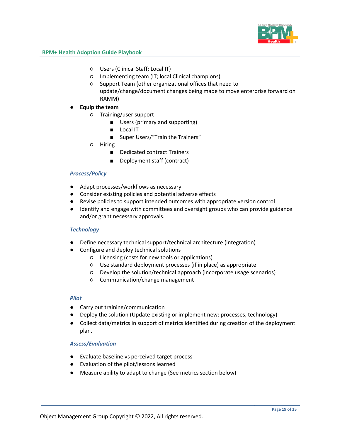

- Users (Clinical Staff; Local IT)
- Implementing team (IT; local Clinical champions)
- Support Team (other organizational offices that need to update/change/document changes being made to move enterprise forward on RAMM)
- **Equip the team** 
	- Training/user support
		- Users (primary and supporting)
		- Local IT
		- Super Users/"Train the Trainers"
	- Hiring
		- Dedicated contract Trainers
		- Deployment staff (contract)

#### *Process/Policy*

- Adapt processes/workflows as necessary
- Consider existing policies and potential adverse effects
- Revise policies to support intended outcomes with appropriate version control
- Identify and engage with committees and oversight groups who can provide guidance and/or grant necessary approvals.

#### *Technology*

- Define necessary technical support/technical architecture (integration)
- Configure and deploy technical solutions
	- Licensing (costs for new tools or applications)
	- Use standard deployment processes (if in place) as appropriate
	- Develop the solution/technical approach (incorporate usage scenarios)
	- Communication/change management

#### *Pilot*

- Carry out training/communication
- Deploy the solution (Update existing or implement new: processes, technology)
- Collect data/metrics in support of metrics identified during creation of the deployment plan.

#### *Assess/Evaluation*

- Evaluate baseline vs perceived target process
- Evaluation of the pilot/lessons learned
- Measure ability to adapt to change (See metrics section below)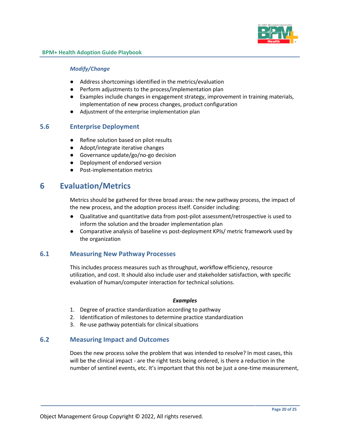

#### *Modify/Change*

- Address shortcomings identified in the metrics/evaluation
- Perform adjustments to the process/implementation plan
- Examples include changes in engagement strategy, improvement in training materials, implementation of new process changes, product configuration
- Adjustment of the enterprise implementation plan

#### <span id="page-19-0"></span>**5.6 Enterprise Deployment**

- Refine solution based on pilot results
- Adopt/integrate iterative changes
- Governance update/go/no-go decision
- Deployment of endorsed version
- Post-implementation metrics

## <span id="page-19-1"></span>**6 Evaluation/Metrics**

Metrics should be gathered for three broad areas: the new pathway process, the impact of the new process, and the adoption process itself. Consider including:

- Qualitative and quantitative data from post-pilot assessment/retrospective is used to inform the solution and the broader implementation plan
- Comparative analysis of baseline vs post-deployment KPIs/ metric framework used by the organization

#### <span id="page-19-2"></span>**6.1 Measuring New Pathway Processes**

This includes process measures such as throughput, workflow efficiency, resource utilization, and cost. It should also include user and stakeholder satisfaction, with specific evaluation of human/computer interaction for technical solutions.

#### *Examples*

- 1. Degree of practice standardization according to pathway
- 2. Identification of milestones to determine practice standardization
- 3. Re-use pathway potentials for clinical situations

#### <span id="page-19-3"></span>**6.2 Measuring Impact and Outcomes**

Does the new process solve the problem that was intended to resolve? In most cases, this will be the clinical impact - are the right tests being ordered, is there a reduction in the number of sentinel events, etc. It's important that this not be just a one-time measurement,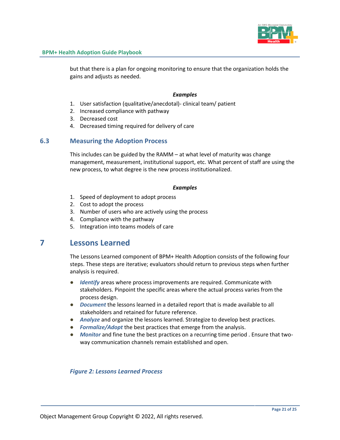

but that there is a plan for ongoing monitoring to ensure that the organization holds the gains and adjusts as needed.

#### *Examples*

- 1. User satisfaction (qualitative/anecdotal)- clinical team/ patient
- 2. Increased compliance with pathway
- 3. Decreased cost
- 4. Decreased timing required for delivery of care

#### <span id="page-20-0"></span>**6.3 Measuring the Adoption Process**

This includes can be guided by the RAMM – at what level of maturity was change management, measurement, institutional support, etc. What percent of staff are using the new process, to what degree is the new process institutionalized.

#### *Examples*

- 1. Speed of deployment to adopt process
- 2. Cost to adopt the process
- 3. Number of users who are actively using the process
- 4. Compliance with the pathway
- 5. Integration into teams models of care

## <span id="page-20-1"></span>**7 Lessons Learned**

The Lessons Learned component of BPM+ Health Adoption consists of the following four steps. These steps are iterative; evaluators should return to previous steps when further analysis is required.

- *Identify* areas where process improvements are required. Communicate with stakeholders. Pinpoint the specific areas where the actual process varies from the process design.
- *Document* the lessons learned in a detailed report that is made available to all stakeholders and retained for future reference.
- *Analyze* and organize the lessons learned. Strategize to develop best practices.
- *Formalize/Adopt* the best practices that emerge from the analysis.
- *Monitor* and fine tune the best practices on a recurring time period . Ensure that twoway communication channels remain established and open.

#### *Figure 2: Lessons Learned Process*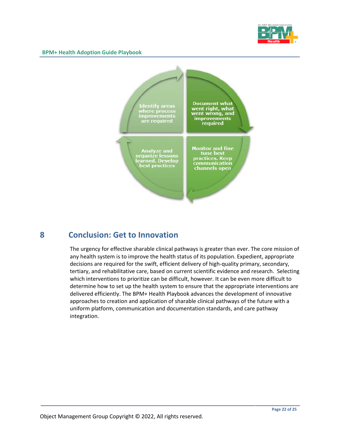



## <span id="page-21-0"></span>**8 Conclusion: Get to Innovation**

The urgency for effective sharable clinical pathways is greater than ever. The core mission of any health system is to improve the health status of its population. Expedient, appropriate decisions are required for the swift, efficient delivery of high-quality primary, secondary, tertiary, and rehabilitative care, based on current scientific evidence and research. Selecting which interventions to prioritize can be difficult, however. It can be even more difficult to determine how to set up the health system to ensure that the appropriate interventions are delivered efficiently. The BPM+ Health Playbook advances the development of innovative approaches to creation and application of sharable clinical pathways of the future with a uniform platform, communication and documentation standards, and care pathway integration.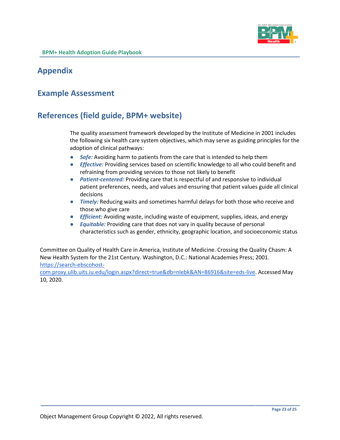

## <span id="page-22-0"></span>**Appendix**

## <span id="page-22-1"></span>**Example Assessment**

## <span id="page-22-2"></span>**References (field guide, BPM+ website)**

The quality assessment framework developed by the Institute of Medicine in 2001 includes the following six health care system objectives, which may serve as guiding principles for the adoption of clinical pathways:

- *Safe:* Avoiding harm to patients from the care that is intended to help them
- *Effective:* Providing services based on scientific knowledge to all who could benefit and refraining from providing services to those not likely to benefit
- *Patient-centered:* Providing care that is respectful of and responsive to individual patient preferences, needs, and values and ensuring that patient values guide all clinical decisions
- *Timely:* Reducing waits and sometimes harmful delays for both those who receive and those who give care
- *Efficient:* Avoiding waste, including waste of equipment, supplies, ideas, and energy
- *Equitable:* Providing care that does not vary in quality because of personal characteristics such as gender, ethnicity, geographic location, and socioeconomic status

Committee on Quality of Health Care in America, Institute of Medicine. Crossing the Quality Chasm: A New Health System for the 21st Century. Washington, D.C.: National Academies Press; 2001. [https://search-ebscohost-](https://search-ebscohost-com.proxy.ulib.uits.iu.edu/login.aspx?direct=true&db=nlebk&AN=86916&site=eds-live)

[com.proxy.ulib.uits.iu.edu/login.aspx?direct=true&db=nlebk&AN=86916&site=eds-live.](https://search-ebscohost-com.proxy.ulib.uits.iu.edu/login.aspx?direct=true&db=nlebk&AN=86916&site=eds-live) Accessed May 10, 2020.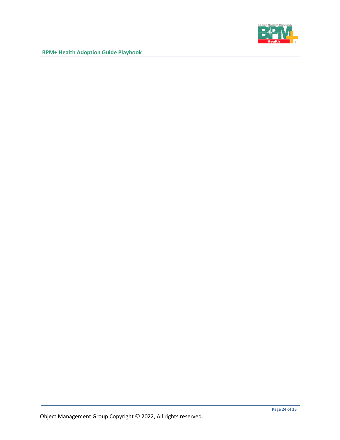

**BPM+ Health Adoption Guide Playbook**